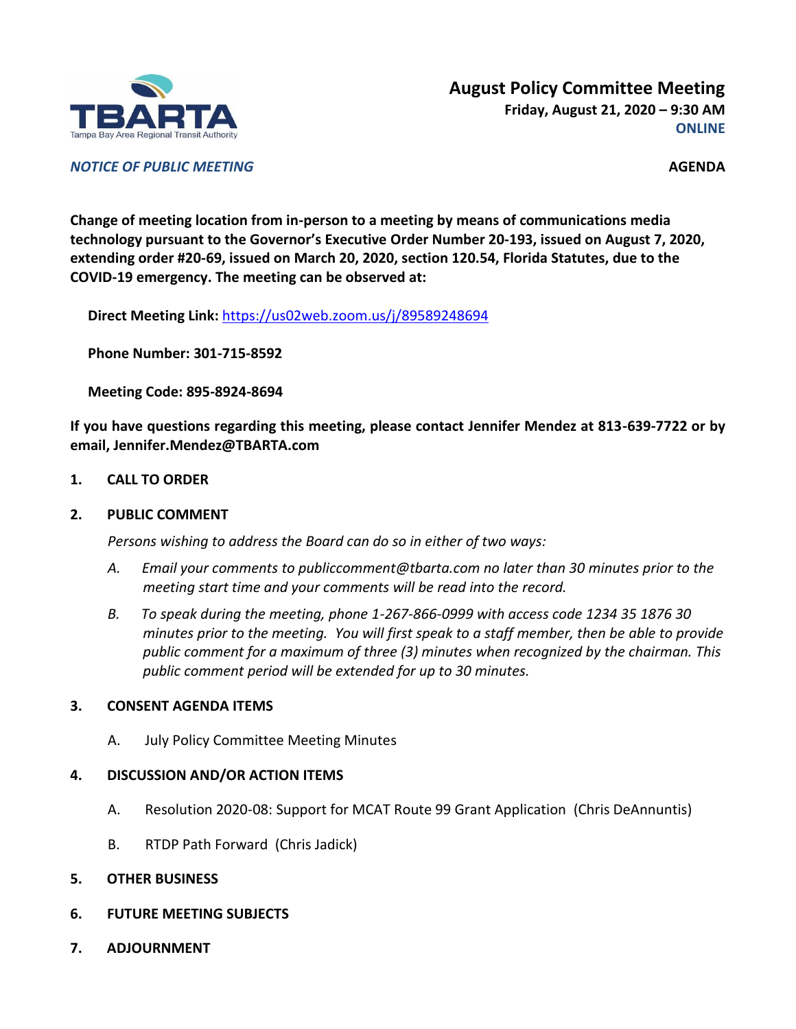

*NOTICE OF PUBLIC MEETING* **AGENDA**

**Change of meeting location from in-person to a meeting by means of communications media technology pursuant to the Governor's Executive Order Number 20-193, issued on August 7, 2020, extending order #20-69, issued on March 20, 2020, section 120.54, Florida Statutes, due to the COVID-19 emergency. The meeting can be observed at:**

**Direct Meeting Link:** <https://us02web.zoom.us/j/89589248694>

**Phone Number: 301-715-8592**

**Meeting Code: 895-8924-8694**

**If you have questions regarding this meeting, please contact Jennifer Mendez at 813-639-7722 or by email, Jennifer.Mendez@TBARTA.com**

**1. CALL TO ORDER**

## **2. PUBLIC COMMENT**

*Persons wishing to address the Board can do so in either of two ways:*

- *A. Email your comments to publiccomment@tbarta.com no later than 30 minutes prior to the meeting start time and your comments will be read into the record.*
- *B. To speak during the meeting, phone 1-267-866-0999 with access code 1234 35 1876 30 minutes prior to the meeting. You will first speak to a staff member, then be able to provide public comment for a maximum of three (3) minutes when recognized by the chairman. This public comment period will be extended for up to 30 minutes.*

## **3. CONSENT AGENDA ITEMS**

A. July Policy Committee Meeting Minutes

## **4. DISCUSSION AND/OR ACTION ITEMS**

- A. Resolution 2020-08: Support for MCAT Route 99 Grant Application (Chris DeAnnuntis)
- B. RTDP Path Forward (Chris Jadick)
- **5. OTHER BUSINESS**
- **6. FUTURE MEETING SUBJECTS**
- **7. ADJOURNMENT**